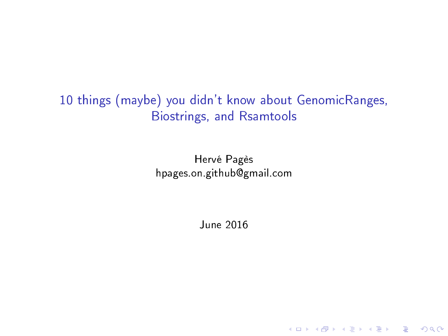## <span id="page-0-0"></span>10 things (maybe) you didn't know about GenomicRanges, Biostrings, and Rsamtools

Hervé Pagès [hpages.on.github@gmail.com](mailto:hpages.on.github@gmail.com)

June 2016

K ロ ▶ K 個 ▶ K 할 ▶ K 할 ▶ 이 할 → 9 Q Q →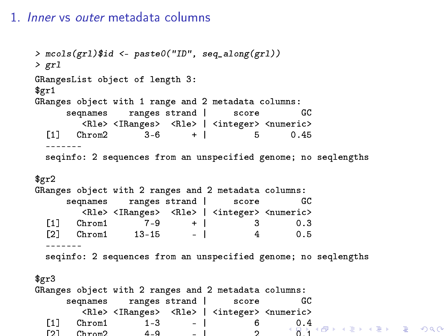#### 1. Inner vs outer metadata columns

```
> mcols(grl)$id <- paste0("ID", seq_along(grl))
> grl
GRangesList object of length 3:
$gr1
GRanges object with 1 range and 2 metadata columns:<br>segnames ranges strand | score GC
      seqnames ranges strand |
  <Rle> <IRanges> <Rle> | <integer> <numeric>
                       3-6 + |
  -------
  seqinfo: 2 sequences from an unspecified genome; no seqlengths
$gr2
GRanges object with 2 ranges and 2 metadata columns:<br>seonames sanges strand | score GC
      seqnames ranges strand | score
          <Rle> <IRanges> <Rle> | <integer> <numeric>
  \begin{array}{ccccccccc}\n[1] & \text{Chrom1} & & 7-9 & & + & & 3 & & 0.3 \\
[2mm] \text{F21} & \text{Chrom1} & & 13-15 & & - & & 4 & & 0.5\n\end{array}[2] Chrom1 13-15-------
  seqinfo: 2 sequences from an unspecified genome; no seqlengths
$gr3
GRanges object with 2 ranges and 2 metadata columns:<br>segnames ranges strand | score GC
      seqnames ranges strand |
          <Rle> <IRanges> <Rle> | <integer> <numeric>
  [1].4
  [2] Chrom2 4-9 - | 2 0.1
```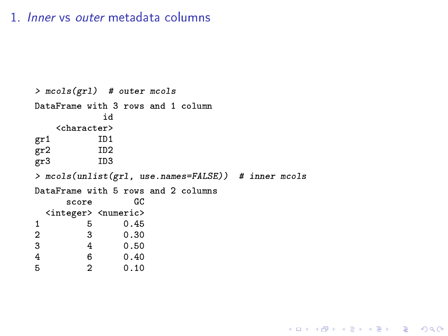#### <span id="page-2-0"></span>1. Inner vs outer metadata columns

```
> mcols(grl) # outer mcols
DataFrame with 3 rows and 1 column
                    id
      <character>
gr1 ID1<br>gr2 ID2
gr2 ID2<br>gr3 ID3
gr3> mcols(unlist(grl, use.names=FALSE)) # inner mcols
DataFrame with 5 rows and 2 columns<br>score GC
         score
   <integer> <numeric><br>5 0.45
\begin{array}{cccc} 1 & 5 & 0.45 \\ 2 & 3 & 0.30 \end{array}\begin{array}{ccc} 2 & \hspace{1.5cm} 3 \\ 3 & \hspace{1.5cm} 4 \end{array}\begin{array}{cccc} 3 & 4 & 0.50 \\ 4 & 6 & 0.40 \end{array}4 6 0.40<br>5 2 0.10
                          0.10
```
K ロ > K @ > K 할 > K 할 > → 할 → ⊙ Q @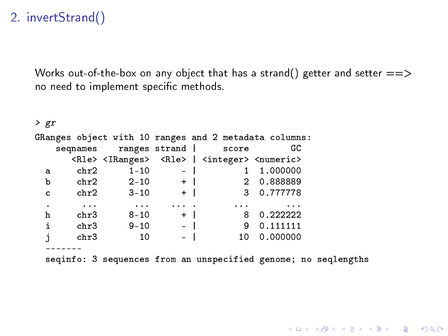Works out-of-the-box on any object that has a strand() getter and setter  $==>$ no need to implement specific methods.

| > gr |                   |                   |                          |                                                                                       |                                                                |  |
|------|-------------------|-------------------|--------------------------|---------------------------------------------------------------------------------------|----------------------------------------------------------------|--|
|      |                   |                   |                          |                                                                                       | GRanges object with 10 ranges and 2 metadata columns:          |  |
|      |                   |                   |                          | seqnames ranges strand   score                                                        | GС                                                             |  |
|      |                   |                   |                          | <rle> <iranges> <rle>   <integer> <numeric></numeric></integer></rle></iranges></rle> |                                                                |  |
| a    | chr2              | $1 - 10$          | $-1$                     |                                                                                       | 1.000000                                                       |  |
| b    |                   | chr2 2-10 +       |                          |                                                                                       | 2 0.888889                                                     |  |
| c    |                   | chr2 3-10         | $\sim 10^{11}$ m $\pm 1$ |                                                                                       | 3 0.777778                                                     |  |
| ٠    | <b>Contractor</b> | <b>Contractor</b> | <b>Contract Contract</b> | <b>Contract Contract</b>                                                              | $\cdots$                                                       |  |
| h    | chr3              | $8 - 10$          | $+$                      |                                                                                       | 8 0.222222                                                     |  |
| i    | chr3              | $9 - 10$          | $\sim$ $ \sim$ $\sim$    |                                                                                       | 9 0.111111                                                     |  |
| j    | chr3              | 10                | $\equiv$                 | 10 <sup>1</sup>                                                                       | 0.000000                                                       |  |
|      |                   |                   |                          |                                                                                       |                                                                |  |
|      |                   |                   |                          |                                                                                       | seqinfo: 3 sequences from an unspecified genome; no seqlengths |  |

KID KORK KERKER E KORCH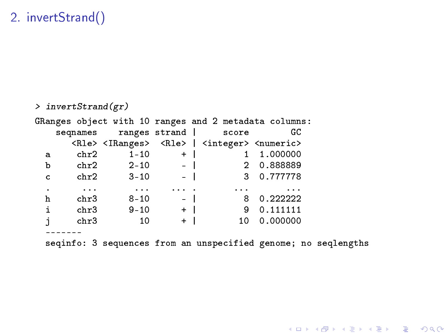```
> invertStrand(gr)
GRanges object with 10 ranges and 2 metadata columns:<br>segnames ranges strand | score GC
   seqnames ranges strand |
      <Rle> <IRanges> <Rle> | <integer> <numeric>
 a chr2 1-10 + | 1 1.000000<br>b chr2 2-10 - | 2 0.888889b chr2 2-10 - | 2 0.888889
 c chr2 3-10
  . ... ... ... . ... ...
  h chr3 8-10 - | 8 0.222222
 i chr3 9-10 + | 9 0.111111<br>j chr3 10 + | 10 0.000000
       chr3 10
  -------
 seqinfo: 3 sequences from an unspecified genome; no seqlengths
```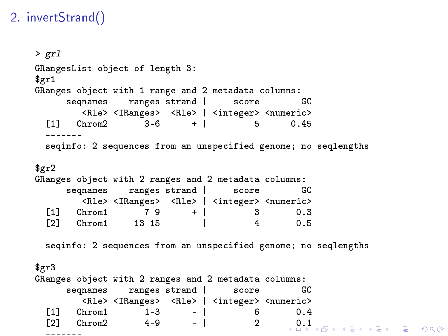```
> grl
GRangesList object of length 3:
$gr1
GRanges object with 1 range and 2 metadata columns:<br>segnames strand score GC
     seqnames ranges strand | score
       <Rle> <IRanges> <Rle> | <integer> <numeric>
 [1] Chrom2 3-6 + | 5 0.45
 -------
 seqinfo: 2 sequences from an unspecified genome; no seqlengths
$gr2
GRanges object with 2 ranges and 2 metadata columns:
     seqnames ranges strand | score GC
       <Rle> <IRanges> <Rle> | <integer> <numeric>
 [1] Chrom1 7-9 + | 3 0.3
 [2] Chrom1 13-15 - |
 -------
 seqinfo: 2 sequences from an unspecified genome; no seqlengths
$gr3
GRanges object with 2 ranges and 2 metadata columns:
     seqnames ranges strand | score GC
       <Rle> <IRanges> <Rle> | <integer> <numeric>
 [1] Chrom1 1-3 - | 6 0.4
 [2] Chrom2 4-9.1
 -------
```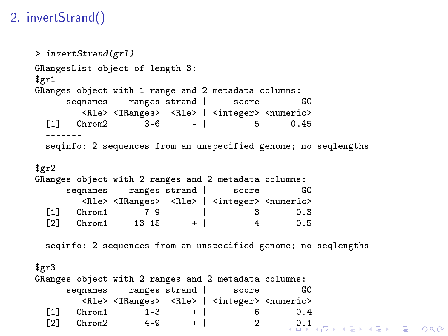```
> invertStrand(grl)
GRangesList object of length 3:
$gr1
GRanges object with 1 range and 2 metadata columns:<br>segnames strand score GC
     seqnames ranges strand | score
        <Rle> <IRanges> <Rle> | <integer> <numeric>
 [1] Chrom2 3-6 - | 5 0.45
  -------
 seqinfo: 2 sequences from an unspecified genome; no seqlengths
$gr2
GRanges object with 2 ranges and 2 metadata columns:
     seqnames ranges strand | score GC
        <Rle> <IRanges> <Rle> | <integer> <numeric>
 [1] Chrom1 7-9 - | 3 0.3
 [2] Chrom1 13-15 + |
  -------
 seqinfo: 2 sequences from an unspecified genome; no seqlengths
$gr3
GRanges object with 2 ranges and 2 metadata columns:<br>segmames ranges strand | score 60
     seqnames ranges strand | score
        <Rle> <IRanges> <Rle> | <integer> <numeric>
  [1] Chrom1 1-3 + | 6 0.4
  [2] Chrom2 4-9 + | 2 .1-------
```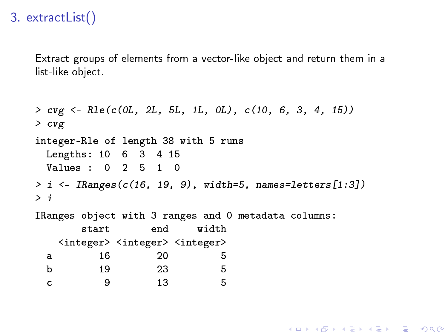## <span id="page-7-0"></span>3. extractList()

Extract groups of elements from a vector-like object and return them in a list-like object.

```
> cvg <- Rle(c(0L, 2L, 5L, 1L, 0L), c(10, 6, 3, 4, 15))
> cvg
integer-Rle of length 38 with 5 runs
 Lengths: 10 6 3 4 15
 Values : 0 2 5 1 0
> i <- IRanges(c(16, 19, 9), width=5, names=letters[1:3])
\frac{1}{2} i
IRanges object with 3 ranges and 0 metadata columns:
      start end width
   <integer> <integer> <integer>
 a 16 20 5
 b 19 23 5
 c 9 13 5
```
**KORKA SERKER ORA**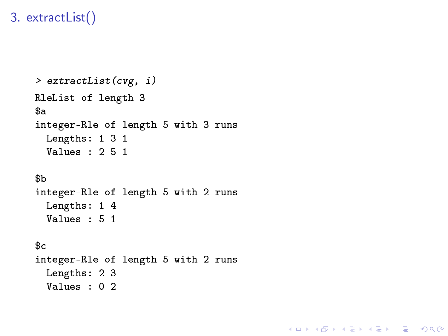## 3. extractList()

```
> extractList(cvg, i)
RleList of length 3
$a
integer-Rle of length 5 with 3 runs
 Lengths: 1 3 1
 Values : 2 5 1
$b
integer-Rle of length 5 with 2 runs
 Lengths: 1 4
 Values : 5 1
s<sub>c</sub>integer-Rle of length 5 with 2 runs
 Lengths: 2 3
 Values : 0 2
```
K ロ ▶ K 個 ▶ K 할 > K 할 > 1 할 > 1 이익어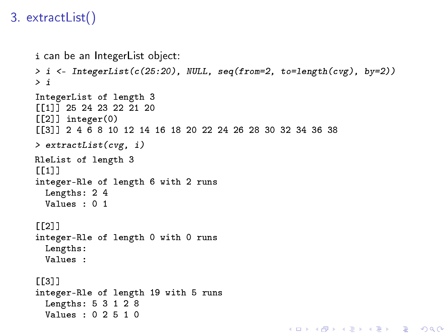# 3. extractList()

```
i can be an IntegerList object:
> i <- IntegerList(c(25:20), NULL, seq(from=2, to=length(cvg), by=2))
> i
IntegerList of length 3
[[1]] 25 24 23 22 21 20
[[2]] integer(0)
[[3]] 2 4 6 8 10 12 14 16 18 20 22 24 26 28 30 32 34 36 38
> extractList(cvg, i)
RleList of length 3
[[1]]
integer-Rle of length 6 with 2 runs
  Lengths: 2 4
  Values : 0 1
[[2]]
integer-Rle of length 0 with 0 runs
  Lengths:
  Values :
[[][][][][][][][][][][][][][][][][][][][][][][][][][][][][][][][][][][][][integer-Rle of length 19 with 5 runs
  Lengths: 5 3 1 2 8
  Values : 0 2 5 1 0K ロ ▶ K 個 ▶ K 할 > K 할 > 1 할 > 1 이익어
```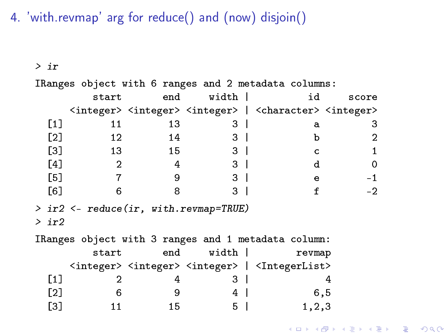4. 'with.revmap' arg for reduce() and (now) disjoin()

> ir

IRanges object with 6 ranges and 2 metadata columns: start end width | id score <integer> <integer> <integer> | <character> <integer>  $[1]$  11 13 3 | a 3  $[2]$  12 14 3 b 2  $[3]$  13 15 3 c 1  $[4]$  2 4 3 d 0 [5] 7 9 3 | e -1  $[6]$  6 8 3 f -2 > ir2 <- reduce(ir, with.revmap=TRUE)  $>$  ir2 IRanges object with 3 ranges and 1 metadata column: start end width crevmap <integer> <integer> <integer> | <IntegerList>  $[1]$  2 4 3 4  $[2] \t 6 \t 9 \t 4 \t 6,5$  $[3]$  11 15 5 | 1,2,3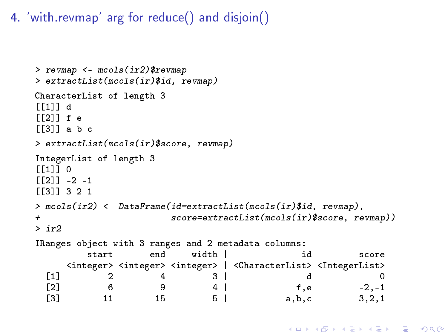4. 'with.revmap' arg for reduce() and disjoin()

```
> revmap <- mcols(ir2)$revmap
> extractList(mcols(ir)$id, revmap)
CharacterList of length 3
[[1]] d
[12]] f e
[[3]] a b c
> extractList(mcols(ir)$score, revmap)
IntegerList of length 3
[11] 0
\lceil[2]] -2 -1
[[3]] 3 2 1
> mcols(ir2) <- DataFrame(id=extractList(mcols(ir)$id, revmap),
+ score=extractList(mcols(ir)$score, revmap))
> ir2
IRanges object with 3 ranges and 2 metadata columns:
           start end width | id score
      <integer> <integer> <integer> | <CharacterList> <IntegerList>
  \begin{array}{ccccccc} \texttt{[1]} & & 2 & & 4 & & 3 & & & \texttt{d} & & & \ \texttt{[2]} & & 6 & & 9 & & 4 & & & \texttt{f.e} & & -2.-1 \end{array}\begin{array}{ccccccccccccc}\n 2 & 6 & 9 & 4 & \end{array} f.e -2.-1
  \begin{array}{ccccccc} \text{[3]} & & & 11 & & & 15 & & 5 & & & \text{a.b.c} & & & 3.2.1 \end{array}
```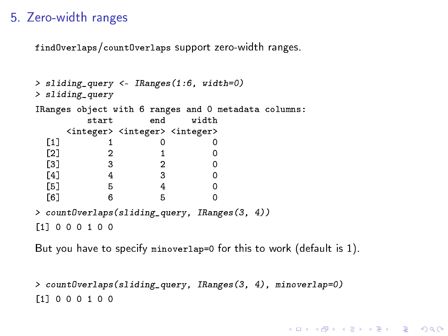#### 5. Zero-width ranges

findOverlaps/countOverlaps support zero-width ranges.

```
> sliding_query <- IRanges(1:6, width=0)
> sliding_query
IRanges object with 6 ranges and 0 metadata columns:
      start end width
   <integer> <integer> <integer>
 [1] 1 0 0
 [2] 2 1 0[3] 3 2 0
 [4] 4 3 0
 [5] 5 4 0
 [6] 6 5 0
> countOverlaps(sliding_query, IRanges(3, 4))
[1] 0 0 0 1 0 0
```
But you have to specify minoverlap=0 for this to work (default is 1).

```
> countOverlaps(sliding_query, IRanges(3, 4), minoverlap=0)
[1] 0 0 0 1 0 0
```
**KORKA SERKER ORA**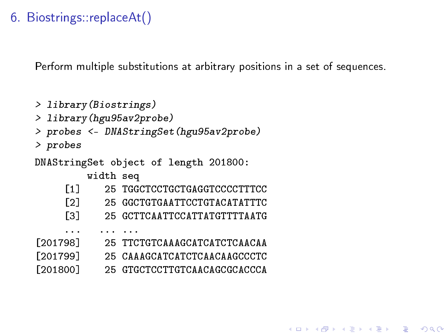Perform multiple substitutions at arbitrary positions in a set of sequences.

```
> library(Biostrings)
> library(hgu95av2probe)
> probes <- DNAStringSet(hgu95av2probe)
> probes
DNAStringSet object of length 201800:
        width seq
    [1] 25 TGGCTCCTGCTGAGGTCCCCTTTCC
    [2] 25 GGCTGTGAATTCCTGTACATATTTC
    [3] 25 GCTTCAATTCCATTATGTTTTAATG
     ... ... ...
[201798] 25 TTCTGTCAAAGCATCATCTCAACAA
[201799] 25 CAAAGCATCATCTCAACAAGCCCTC
[201800] 25 GTGCTCCTTGTCAACAGCGCACCCA
```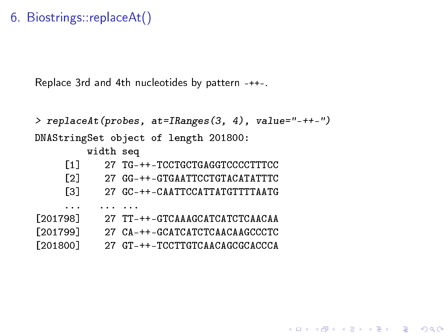Replace 3rd and 4th nucleotides by pattern -++-.

```
> replaceAt(probes, at=IRanges(3, 4), value="-++-")
DNAStringSet object of length 201800:
        width seq
    [1] 27 TG-++-TCCTGCTGAGGTCCCCTTTCC
    [2] 27 GG-++-GTGAATTCCTGTACATATTTC
    [3] 27 GC-++-CAATTCCATTATGTTTTAATG
    ... ... ...
[201798] 27 TT-++-GTCAAAGCATCATCTCAACAA
[201799] 27 CA-++-GCATCATCTCAACAAGCCCTC
[201800] 27 GT-++-TCCTTGTCAACAGCGCACCCA
```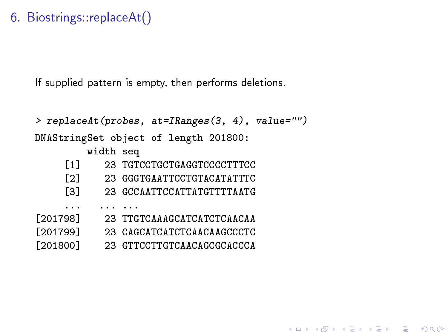If supplied pattern is empty, then performs deletions.

```
> replaceAt(probes, at=IRanges(3, 4), value="")
DNAStringSet object of length 201800:
        width seq
    [1] 23 TGTCCTGCTGAGGTCCCCTTTCC
    [2] 23 GGGTGAATTCCTGTACATATTTC
    [3] 23 GCCAATTCCATTATGTTTTAATG
    ... ... ...
[201798] 23 TTGTCAAAGCATCATCTCAACAA
[201799] 23 CAGCATCATCTCAACAAGCCCTC
[201800] 23 GTTCCTTGTCAACAGCGCACCCA
```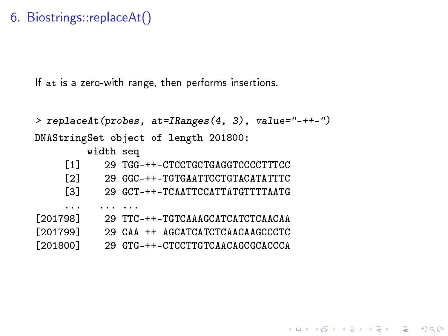If at is a zero-with range, then performs insertions.

```
> replaceAt(probes, at=IRanges(4, 3), value="-++-")
DNAStringSet object of length 201800:
        width seq
    [1] 29 TGG-++-CTCCTGCTGAGGTCCCCTTTCC
    [2] 29 GGC-++-TGTGAATTCCTGTACATATTTC
    [3] 29 GCT-++-TCAATTCCATTATGTTTTAATG
     ... ... ...
[201798] 29 TTC-++-TGTCAAAGCATCATCTCAACAA
[201799] 29 CAA-++-AGCATCATCTCAACAAGCCCTC
[201800] 29 GTG-++-CTCCTTGTCAACAGCGCACCCA
```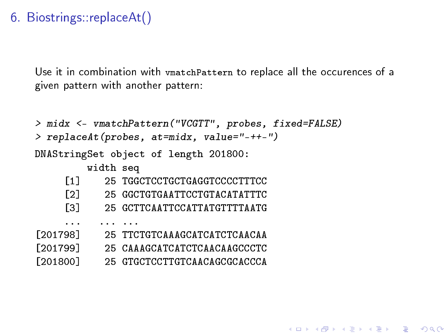Use it in combination with vmatchPattern to replace all the occurences of a given pattern with another pattern:

```
> midx <- vmatchPattern("VCGTT", probes, fixed=FALSE)
> replaceAt(probes, at=midx, value="-++-")
DNAStringSet object of length 201800:
        width seq
    [1] 25 TGGCTCCTGCTGAGGTCCCCTTTCC
    [2] 25 GGCTGTGAATTCCTGTACATATTTC
    [3] 25 GCTTCAATTCCATTATGTTTTAATG
     ... ... ...
[201798] 25 TTCTGTCAAAGCATCATCTCAACAA
[201799] 25 CAAAGCATCATCTCAACAAGCCCTC
[201800] 25 GTGCTCCTTGTCAACAGCGCACCCA
```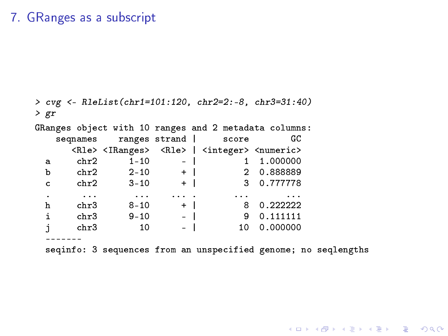#### 7. GRanges as a subscript

> cvg <- RleList(chr1=101:120, chr2=2:-8, chr3=31:40) > gr GRanges object with 10 ranges and 2 metadata columns:<br>segnames ranges strand score GC seqnames ranges strand | score <Rle> <IRanges> <Rle> | <integer> <numeric> a chr2  $1-10$  - | 1  $1.000000$ <br>b chr2  $2-10$  + | 2  $0.888889$ b chr2 2-10 + | 2 0.888889<br>c chr2 3-10 + | 3 0.777778 c  $chr2$  3-10 + . ... ... ... . ... ... h chr3 8-10 + | 8 0.222222 i chr3 9-10 - | 9 0.111111<br>j chr3 10 - | 10 0.000000 chr3 10 ------ seqinfo: 3 sequences from an unspecified genome; no seqlengths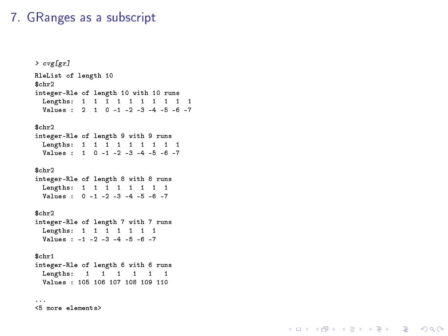#### 7. GRanges as a subscript

```
> cvg[gr]
RleList of length 10
$chr2
integer-Rle of length 10 with 10 runs
 Lengths: 1 1 1 1 1 1 1 1 1 1
 Values : 2 1 0 -1 -2 -3 -4 -5 -6 -7
$chr2
integer-Rle of length 9 with 9 runs
 Lengths: 1 1 1 1 1 1 1 1 1
 Values : 1 0 -1 -2 -3 -4 -5 -6 -7
$chr2
integer-Rle of length 8 with 8 runs
 Lengths: 1 1 1 1 1 1 1 1
 Values : 0 -1 -2 -3 -4 -5 -6 -7
$chr2
integer-Rle of length 7 with 7 runs
 Lengths: 1 1 1 1 1 1 1
 Values : -1 -2 -3 -4 -5 -6 -7
$chr1
integer-Rle of length 6 with 6 runs
 Lengths: 1 1 1 1 1 1
 Values : 105 106 107 108 109 110
...
<5 more elements>
```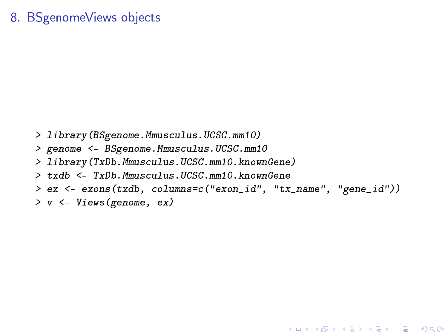#### 8. BSgenomeViews objects

> library(BSgenome.Mmusculus.UCSC.mm10) > genome <- BSgenome.Mmusculus.UCSC.mm10 > library(TxDb.Mmusculus.UCSC.mm10.knownGene) > txdb <- TxDb.Mmusculus.UCSC.mm10.knownGene > ex <- exons(txdb, columns=c("exon\_id", "tx\_name", "gene\_id")) > v <- Views(genome, ex)

**KORKA SERKER ORA**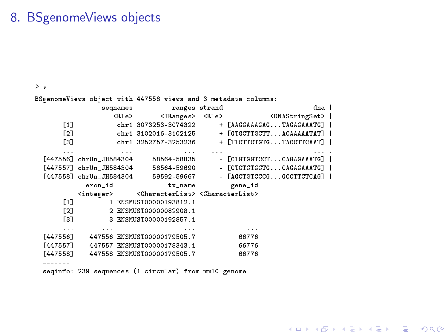#### 8. BSgenomeViews objects

> v

BSgenomeViews object with 447558 views and 3 metadata columns:

|                      |                             | segnames ranges strand                                                             |          | dna l                           |  |
|----------------------|-----------------------------|------------------------------------------------------------------------------------|----------|---------------------------------|--|
|                      | <rle></rle>                 | <iranges> <rle></rle></iranges>                                                    |          | <dnastringset>  </dnastringset> |  |
| $[1]$                |                             | chr1 3073253-3074322                                                               |          | + [AAGGAAAGAGTAGAGAAATG]        |  |
| [2]                  |                             | chr1 3102016-3102125                                                               |          | + [GTGCTTGCTTACAAAAATAT]        |  |
| [3]                  |                             | chr1 3252757-3253236                                                               |          | + [TTCTTCTGTGTACCTTCAAT]        |  |
| $\cdots$             | the company's company's and | $\cdots$                                                                           | $\cdots$ |                                 |  |
|                      |                             | [447556] chrUn_JH584304 58564-58835                                                |          | - [CTGTGGTCCTCAGAGAAATG]        |  |
|                      |                             | [447557] chrUn_JH584304 58564-59690                                                |          | - [CTCTCTGCTGCAGAGAAATG]        |  |
|                      |                             | [447558] chrUn_JH584304 59592-59667                                                |          | - [AGCTGTCCCGGCCTTCTCAG]        |  |
|                      | exon id                     | tx_name gene_id                                                                    |          |                                 |  |
|                      |                             | <integer> <characterlist><characterlist></characterlist></characterlist></integer> |          |                                 |  |
| [1]                  |                             | 1 ENSMUST00000193812.1                                                             |          |                                 |  |
| [2]                  |                             | 2 ENSMUST00000082908.1                                                             |          |                                 |  |
| [3]                  |                             | 3 ENSMUST00000192857.1                                                             |          |                                 |  |
| $\sim$ $\sim$ $\sim$ |                             | $\cdots$                                                                           |          | $\cdots$                        |  |
|                      |                             | [447556] 447556 ENSMUST00000179505.7                                               |          | 66776                           |  |
|                      |                             | [447557] 447557 ENSMUST00000178343.1                                               |          | 66776                           |  |
| [447558]             |                             | 447558 ENSMUST00000179505.7                                                        |          | 66776                           |  |
|                      |                             |                                                                                    |          |                                 |  |
|                      |                             | seqinfo: 239 sequences (1 circular) from mm10 genome                               |          |                                 |  |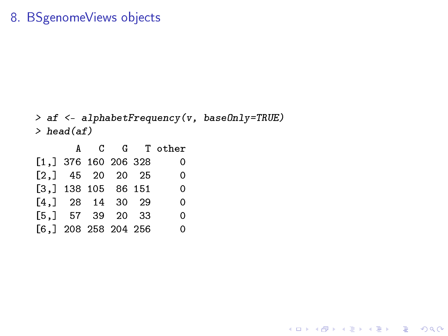#### 8. BSgenomeViews objects

```
> af <- alphabetFrequency(v, baseOnly=TRUE)
> head(af)
```
K ロ ▶ K @ ▶ K 할 ▶ K 할 ▶ | 할 | ⊙Q @

|                        |  |  | A C G Tother |
|------------------------|--|--|--------------|
| $[1,]$ 376 160 206 328 |  |  | 0            |
| $[2,]$ 45 20 20 25     |  |  | 0            |
| $[3,]$ 138 105 86 151  |  |  | 0            |
| $[4,]$ 28 14 30 29     |  |  | 0            |
| $[5,]$ 57 39 20 33     |  |  | 0            |
| $[6,]$ 208 258 204 256 |  |  | 0            |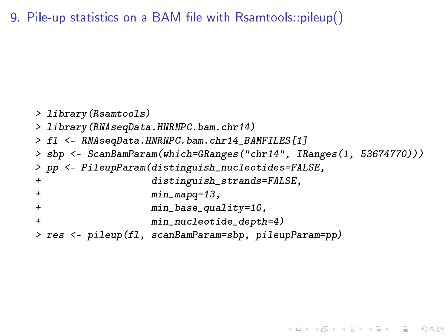9. Pile-up statistics on a BAM file with Rsamtools::pileup()

```
> library(Rsamtools)
> library(RNAseqData.HNRNPC.bam.chr14)
> fl <- RNAseqData.HNRNPC.bam.chr14_BAMFILES[1]
> sbp <- ScanBamParam(which=GRanges("chr14", IRanges(1, 53674770)))
> pp <- PileupParam(distinguish_nucleotides=FALSE,
+ distinguish_strands=FALSE,
+ min_mapq=13,
+ min_base_quality=10,
+ min_nucleotide_depth=4)
> res <- pileup(fl, scanBamParam=sbp, pileupParam=pp)
```
**K ロ X K 레 X K 회 X X 회 X 및 X X X X X 전**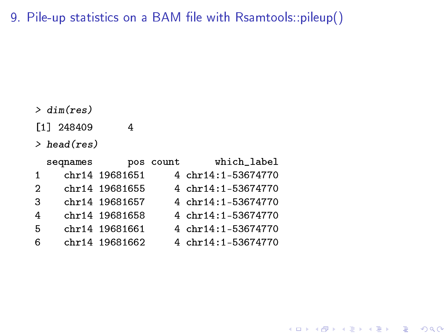9. Pile-up statistics on a BAM file with Rsamtools::pileup()

> dim(res)

[1] 248409 4

> head(res)

|             | seqnames |                | pos count | which_label        |
|-------------|----------|----------------|-----------|--------------------|
| $\mathbf 1$ |          | chr14 19681651 |           | 4 chr14:1-53674770 |
| 2           |          | chr14 19681655 |           | 4 chr14:1-53674770 |
| 3           |          | chr14 19681657 |           | 4 chr14:1-53674770 |
| 4           |          | chr14 19681658 |           | 4 chr14:1-53674770 |
| 5           |          | chr14 19681661 |           | 4 chr14:1-53674770 |
| 6           |          | chr14 19681662 |           | 4 chr14:1-53674770 |

K ロ X x 4 → X ミ X × ミ X → X → ミ X → O Q O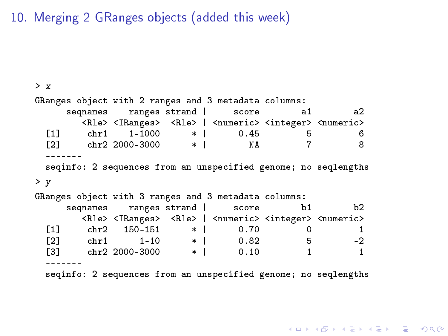10. Merging 2 GRanges objects (added this week)

```
> x
GRanges object with 2 ranges and 3 metadata columns:
       seqnames ranges strand | score a1 a2
          <Rle> <IRanges> <Rle> | <numeric> <integer> <numeric>
  [1] chr1 1-1000 * | 0.45 5 6
  [2] chr2 2000-3000
  -------
  seqinfo: 2 sequences from an unspecified genome; no seqlengths
> y
GRanges object with 3 ranges and 3 metadata columns:<br>segnames ranges strand score b1
       seqnames ranges strand | score b1 b2
          <Rle> <IRanges> <Rle> | <numeric> <integer> <numeric>
  \begin{array}{ccccccccc}\n [1] & \mathrm{chr2} & 150-151 & * & 0.70 & 0 & 1 \\
 21 & \mathrm{chr1} & 1-10 & * & 0.82 & 5 & -2\n\end{array}\begin{array}{ccccccc} \texttt{[2]} & \texttt{chr1} & \texttt{1-10} & * & 0.82 \ \texttt{[3]} & \texttt{chr2} & \texttt{2000-3000} & * & 0.10 \end{array}[3] chr2 2000-3000
  -------
  seqinfo: 2 sequences from an unspecified genome; no seqlengths
```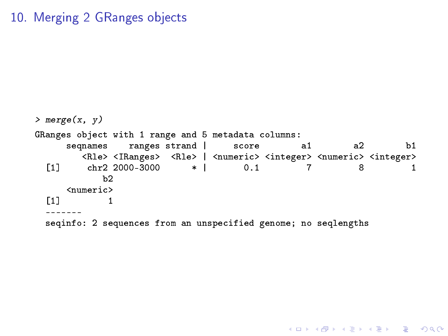#### 10. Merging 2 GRanges objects

```
> merge(x, y)
GRanges object with 1 range and 5 metadata columns:<br>segnames ranges strand | score a1
                 ranges strand | score a1 a2 b1
        <Rle> <IRanges> <Rle> | <numeric> <integer> <numeric> <integer>
  [1] chr2 2000-3000 * | 0.1 7 8 1
            h2<numeric>
  \begin{bmatrix} 1 \end{bmatrix} 1
  -------
  seqinfo: 2 sequences from an unspecified genome; no seqlengths
```